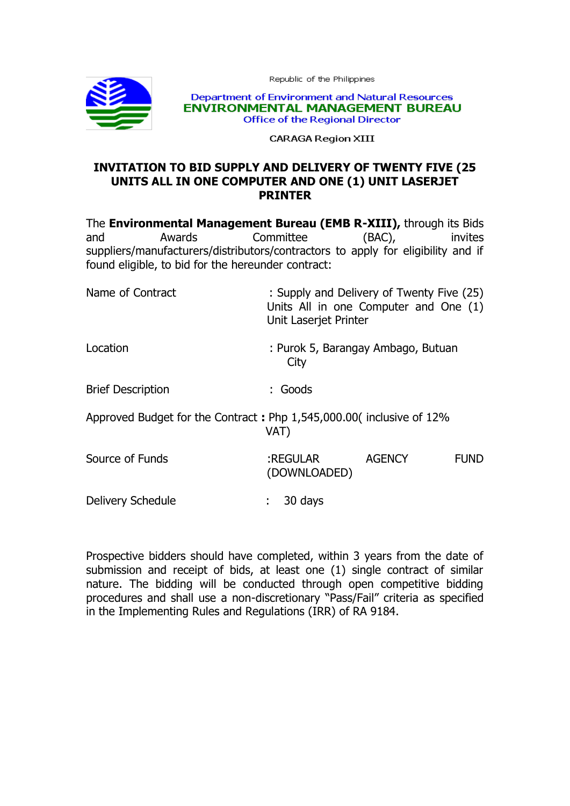Republic of the Philippines



Department of Environment and Natural Resources **ENVIRONMENTAL MANAGEMENT BUREAU Office of the Regional Director** 

**CARAGA Region XIII** 

## **INVITATION TO BID SUPPLY AND DELIVERY OF TWENTY FIVE (25 UNITS ALL IN ONE COMPUTER AND ONE (1) UNIT LASERJET PRINTER**

The **Environmental Management Bureau (EMB R-XIII),** through its Bids and Awards Committee (BAC), invites suppliers/manufacturers/distributors/contractors to apply for eligibility and if found eligible, to bid for the hereunder contract:

| Name of Contract                                                             | : Supply and Delivery of Twenty Five (25)<br>Units All in one Computer and One (1)<br>Unit Laserjet Printer |               |             |
|------------------------------------------------------------------------------|-------------------------------------------------------------------------------------------------------------|---------------|-------------|
| Location                                                                     | : Purok 5, Barangay Ambago, Butuan<br>City                                                                  |               |             |
| <b>Brief Description</b>                                                     | : Goods                                                                                                     |               |             |
| Approved Budget for the Contract: Php 1,545,000.00 (inclusive of 12%<br>VAT) |                                                                                                             |               |             |
| Source of Funds                                                              | :REGULAR<br>(DOWNLOADED)                                                                                    | <b>AGENCY</b> | <b>FUND</b> |
| Delivery Schedule                                                            | 30 days<br>÷                                                                                                |               |             |

Prospective bidders should have completed, within 3 years from the date of submission and receipt of bids, at least one (1) single contract of similar nature. The bidding will be conducted through open competitive bidding procedures and shall use a non-discretionary "Pass/Fail" criteria as specified in the Implementing Rules and Regulations (IRR) of RA 9184.